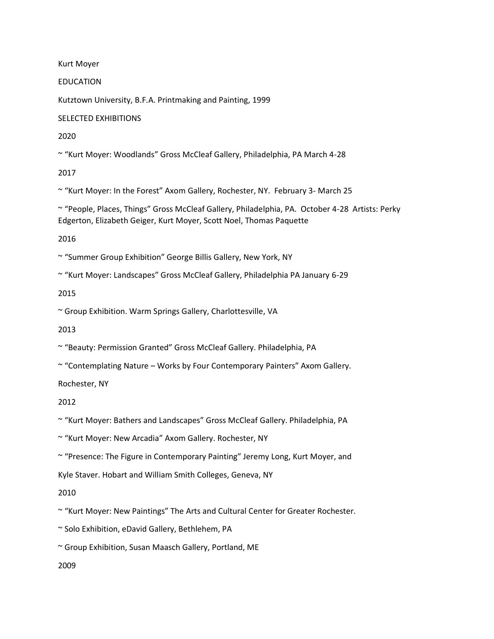Kurt Moyer

EDUCATION

Kutztown University, B.F.A. Printmaking and Painting, 1999

SELECTED EXHIBITIONS

2020

~ "Kurt Moyer: Woodlands" Gross McCleaf Gallery, Philadelphia, PA March 4-28

2017

~ "Kurt Moyer: In the Forest" Axom Gallery, Rochester, NY. February 3- March 25

~ "People, Places, Things" Gross McCleaf Gallery, Philadelphia, PA. October 4-28 Artists: Perky Edgerton, Elizabeth Geiger, Kurt Moyer, Scott Noel, Thomas Paquette

2016

~ "Summer Group Exhibition" George Billis Gallery, New York, NY

~ "Kurt Moyer: Landscapes" Gross McCleaf Gallery, Philadelphia PA January 6-29

2015

~ Group Exhibition. Warm Springs Gallery, Charlottesville, VA

2013

~ "Beauty: Permission Granted" Gross McCleaf Gallery. Philadelphia, PA

~ "Contemplating Nature – Works by Four Contemporary Painters" Axom Gallery.

Rochester, NY

2012

~ "Kurt Moyer: Bathers and Landscapes" Gross McCleaf Gallery. Philadelphia, PA

~ "Kurt Moyer: New Arcadia" Axom Gallery. Rochester, NY

~ "Presence: The Figure in Contemporary Painting" Jeremy Long, Kurt Moyer, and

Kyle Staver. Hobart and William Smith Colleges, Geneva, NY

2010

~ "Kurt Moyer: New Paintings" The Arts and Cultural Center for Greater Rochester.

~ Solo Exhibition, eDavid Gallery, Bethlehem, PA

~ Group Exhibition, Susan Maasch Gallery, Portland, ME

2009